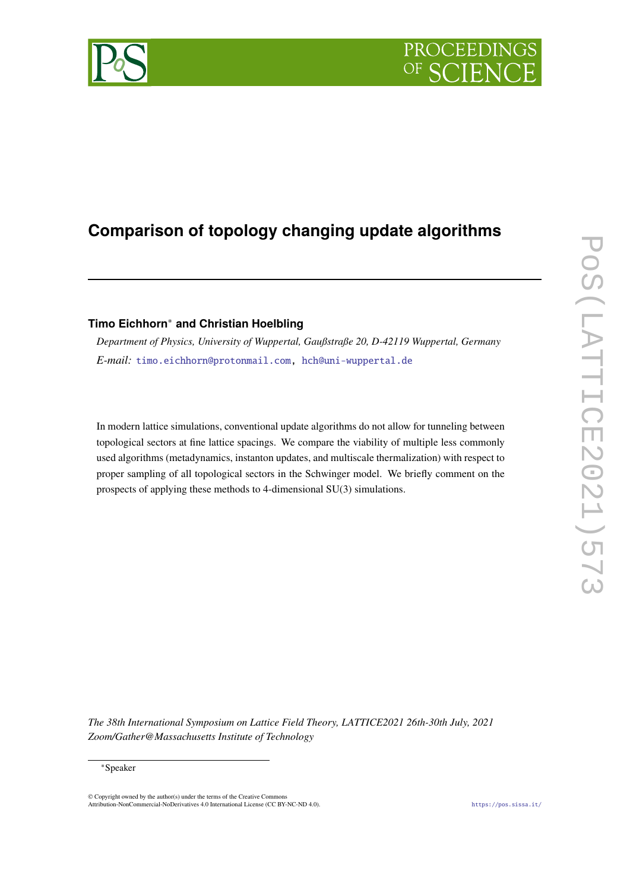# **PROCEEDIN**

## **Comparison of topology changing update algorithms**

### **Timo Eichhorn**<sup>∗</sup> **and Christian Hoelbling**

*Department of Physics, University of Wuppertal, Gaußstraße 20, D-42119 Wuppertal, Germany E-mail:* [timo.eichhorn@protonmail.com,](mailto:timo.eichhorn@protonmail.com) [hch@uni-wuppertal.de](mailto:hch@uni-wuppertal.de)

In modern lattice simulations, conventional update algorithms do not allow for tunneling between topological sectors at fine lattice spacings. We compare the viability of multiple less commonly used algorithms (metadynamics, instanton updates, and multiscale thermalization) with respect to proper sampling of all topological sectors in the Schwinger model. We briefly comment on the prospects of applying these methods to 4-dimensional SU(3) simulations.

*The 38th International Symposium on Lattice Field Theory, LATTICE2021 26th-30th July, 2021 Zoom/Gather@Massachusetts Institute of Technology*

© Copyright owned by the author(s) under the terms of the Creative Commons Attribution-NonCommercial-NoDerivatives 4.0 International License (CC BY-NC-ND 4.0). <https://pos.sissa.it/>



<sup>∗</sup>Speaker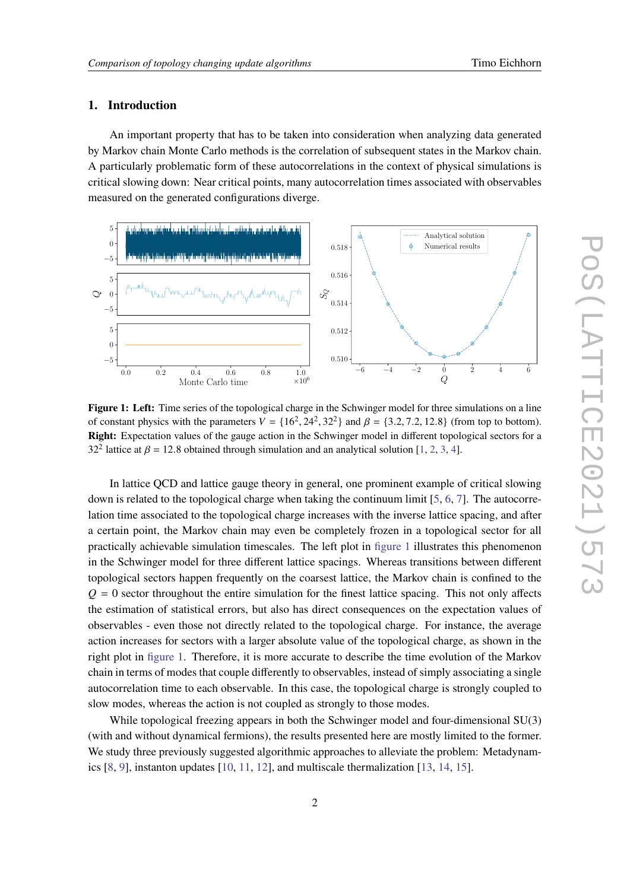#### **1. Introduction**

An important property that has to be taken into consideration when analyzing data generated by Markov chain Monte Carlo methods is the correlation of subsequent states in the Markov chain. A particularly problematic form of these autocorrelations in the context of physical simulations is critical slowing down: Near critical points, many autocorrelation times associated with observables measured on the generated configurations diverge.

<span id="page-1-0"></span>

**Figure 1: Left:** Time series of the topological charge in the Schwinger model for three simulations on a line of constant physics with the parameters  $V = \{16^2, 24^2, 32^2\}$  and  $\beta = \{3.2, 7.2, 12.8\}$  (from top to bottom). **Right:** Expectation values of the gauge action in the Schwinger model in different topological sectors for a 32<sup>2</sup> lattice at  $\beta$  = 12.8 obtained through simulation and an analytical solution [\[1,](#page-8-0) [2,](#page-8-1) [3,](#page-8-2) [4\]](#page-8-3).

In lattice QCD and lattice gauge theory in general, one prominent example of critical slowing down is related to the topological charge when taking the continuum limit [\[5,](#page-8-4) [6,](#page-8-5) [7\]](#page-8-6). The autocorrelation time associated to the topological charge increases with the inverse lattice spacing, and after a certain point, the Markov chain may even be completely frozen in a topological sector for all practically achievable simulation timescales. The left plot in [figure 1](#page-1-0) illustrates this phenomenon in the Schwinger model for three different lattice spacings. Whereas transitions between different topological sectors happen frequently on the coarsest lattice, the Markov chain is confined to the  $Q = 0$  sector throughout the entire simulation for the finest lattice spacing. This not only affects the estimation of statistical errors, but also has direct consequences on the expectation values of observables - even those not directly related to the topological charge. For instance, the average action increases for sectors with a larger absolute value of the topological charge, as shown in the right plot in [figure 1.](#page-1-0) Therefore, it is more accurate to describe the time evolution of the Markov chain in terms of modes that couple differently to observables, instead of simply associating a single autocorrelation time to each observable. In this case, the topological charge is strongly coupled to slow modes, whereas the action is not coupled as strongly to those modes.

While topological freezing appears in both the Schwinger model and four-dimensional SU(3) (with and without dynamical fermions), the results presented here are mostly limited to the former. We study three previously suggested algorithmic approaches to alleviate the problem: Metadynamics [\[8,](#page-8-7) [9\]](#page-9-0), instanton updates [\[10,](#page-9-1) [11,](#page-9-2) [12\]](#page-9-3), and multiscale thermalization [\[13,](#page-9-4) [14,](#page-9-5) [15\]](#page-9-6).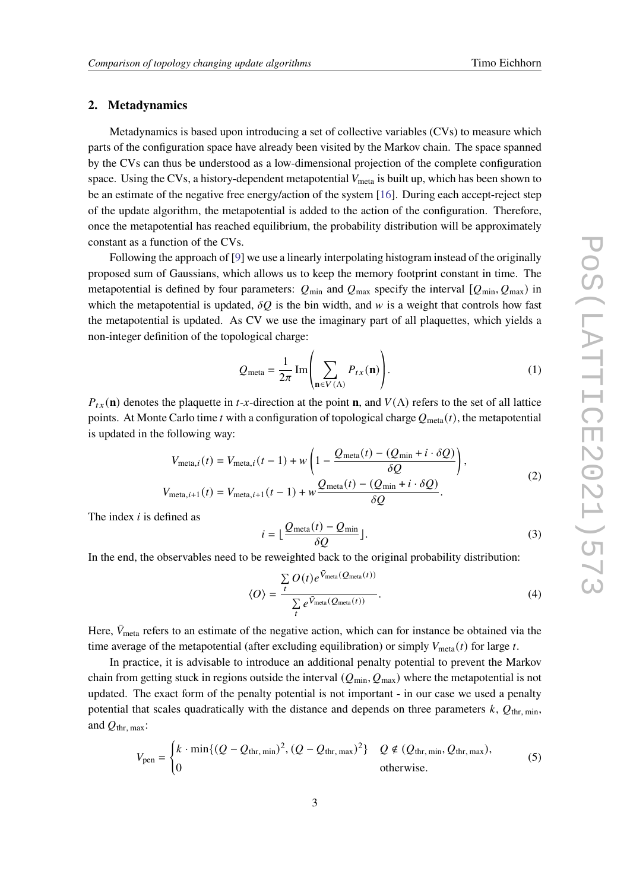#### **2. Metadynamics**

Metadynamics is based upon introducing a set of collective variables (CVs) to measure which parts of the configuration space have already been visited by the Markov chain. The space spanned by the CVs can thus be understood as a low-dimensional projection of the complete configuration space. Using the CVs, a history-dependent metapotential  $V_{\text{meta}}$  is built up, which has been shown to be an estimate of the negative free energy/action of the system [\[16\]](#page-9-7). During each accept-reject step of the update algorithm, the metapotential is added to the action of the configuration. Therefore, once the metapotential has reached equilibrium, the probability distribution will be approximately constant as a function of the CVs.

Following the approach of [\[9\]](#page-9-0) we use a linearly interpolating histogram instead of the originally proposed sum of Gaussians, which allows us to keep the memory footprint constant in time. The metapotential is defined by four parameters:  $Q_{min}$  and  $Q_{max}$  specify the interval  $[Q_{min}, Q_{max})$  in which the metapotential is updated,  $\delta Q$  is the bin width, and w is a weight that controls how fast the metapotential is updated. As CV we use the imaginary part of all plaquettes, which yields a non-integer definition of the topological charge:

$$
Q_{\text{meta}} = \frac{1}{2\pi} \operatorname{Im} \left( \sum_{\mathbf{n} \in V(\Lambda)} P_{tx}(\mathbf{n}) \right). \tag{1}
$$

 $P_{tx}(\mathbf{n})$  denotes the plaquette in *t*-*x*-direction at the point **n**, and  $V(\Lambda)$  refers to the set of all lattice points. At Monte Carlo time t with a configuration of topological charge  $Q_{meta}(t)$ , the metapotential is updated in the following way:

$$
V_{\text{meta},i}(t) = V_{\text{meta},i}(t-1) + w \left( 1 - \frac{Q_{\text{meta}}(t) - (Q_{\text{min}} + i \cdot \delta Q)}{\delta Q} \right),
$$
  

$$
V_{\text{meta},i+1}(t) = V_{\text{meta},i+1}(t-1) + w \frac{Q_{\text{meta}}(t) - (Q_{\text{min}} + i \cdot \delta Q)}{\delta Q}.
$$
 (2)

The index  $i$  is defined as

$$
i = \lfloor \frac{Q_{\text{meta}}(t) - Q_{\text{min}}}{\delta Q} \rfloor.
$$
 (3)

In the end, the observables need to be reweighted back to the original probability distribution:

$$
\langle O \rangle = \frac{\sum_{t} O(t) e^{\bar{V}_{\text{meta}}(Q_{\text{meta}}(t))}}{\sum_{t} e^{\bar{V}_{\text{meta}}(Q_{\text{meta}}(t))}}.
$$
\n(4)

Here,  $\bar{V}_{\text{meta}}$  refers to an estimate of the negative action, which can for instance be obtained via the time average of the metapotential (after excluding equilibration) or simply  $V_{\text{meta}}(t)$  for large t.

In practice, it is advisable to introduce an additional penalty potential to prevent the Markov chain from getting stuck in regions outside the interval  $(Q_{min}, Q_{max})$  where the metapotential is not updated. The exact form of the penalty potential is not important - in our case we used a penalty potential that scales quadratically with the distance and depends on three parameters  $k$ ,  $Q_{\text{thr, min}}$ , and  $Q_{\text{thr. max}}$ :

$$
V_{\text{pen}} = \begin{cases} k \cdot \min\{ (Q - Q_{\text{thr, min}})^2, (Q - Q_{\text{thr, max}})^2 \} & Q \notin (Q_{\text{thr, min}}, Q_{\text{thr, max}}), \\ 0 & \text{otherwise.} \end{cases}
$$
(5)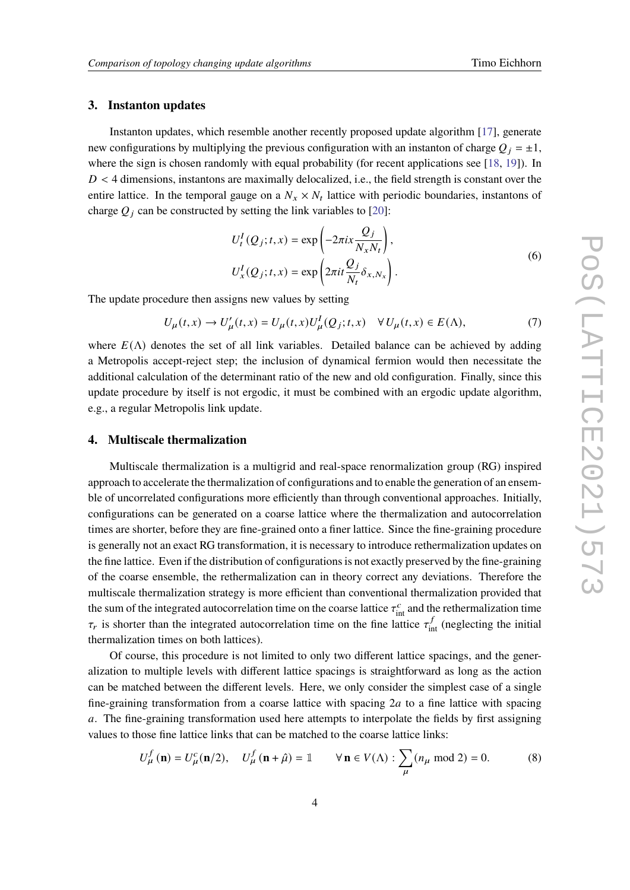#### **3. Instanton updates**

Instanton updates, which resemble another recently proposed update algorithm [\[17\]](#page-9-8), generate new configurations by multiplying the previous configuration with an instanton of charge  $Q_i = \pm 1$ , where the sign is chosen randomly with equal probability (for recent applications see [\[18,](#page-9-9) [19\]](#page-9-10)). In  $D < 4$  dimensions, instantons are maximally delocalized, i.e., the field strength is constant over the entire lattice. In the temporal gauge on a  $N_x \times N_t$  lattice with periodic boundaries, instantons of charge  $Q_j$  can be constructed by setting the link variables to [\[20\]](#page-9-11):

$$
U_t^I(Q_j; t, x) = \exp\left(-2\pi i x \frac{Q_j}{N_x N_t}\right),
$$
  

$$
U_x^I(Q_j; t, x) = \exp\left(2\pi i t \frac{Q_j}{N_t} \delta_{x, N_x}\right).
$$
 (6)

The update procedure then assigns new values by setting

$$
U_{\mu}(t,x) \to U'_{\mu}(t,x) = U_{\mu}(t,x)U_{\mu}^{I}(Q_{j};t,x) \quad \forall U_{\mu}(t,x) \in E(\Lambda),
$$
\n(7)

where  $E(\Lambda)$  denotes the set of all link variables. Detailed balance can be achieved by adding a Metropolis accept-reject step; the inclusion of dynamical fermion would then necessitate the additional calculation of the determinant ratio of the new and old configuration. Finally, since this update procedure by itself is not ergodic, it must be combined with an ergodic update algorithm, e.g., a regular Metropolis link update.

#### **4. Multiscale thermalization**

Multiscale thermalization is a multigrid and real-space renormalization group (RG) inspired approach to accelerate the thermalization of configurations and to enable the generation of an ensemble of uncorrelated configurations more efficiently than through conventional approaches. Initially, configurations can be generated on a coarse lattice where the thermalization and autocorrelation times are shorter, before they are fine-grained onto a finer lattice. Since the fine-graining procedure is generally not an exact RG transformation, it is necessary to introduce rethermalization updates on the fine lattice. Even if the distribution of configurations is not exactly preserved by the fine-graining of the coarse ensemble, the rethermalization can in theory correct any deviations. Therefore the multiscale thermalization strategy is more efficient than conventional thermalization provided that the sum of the integrated autocorrelation time on the coarse lattice  $\tau_{\text{int}}^c$  and the rethermalization time  $\tau_r$  is shorter than the integrated autocorrelation time on the fine lattice  $\tau_{int}^f$  (neglecting the initial thermalization times on both lattices).

Of course, this procedure is not limited to only two different lattice spacings, and the generalization to multiple levels with different lattice spacings is straightforward as long as the action can be matched between the different levels. Here, we only consider the simplest case of a single fine-graining transformation from a coarse lattice with spacing  $2a$  to a fine lattice with spacing a. The fine-graining transformation used here attempts to interpolate the fields by first assigning values to those fine lattice links that can be matched to the coarse lattice links:

$$
U^f_{\mu}(\mathbf{n}) = U^c_{\mu}(\mathbf{n}/2), \quad U^f_{\mu}(\mathbf{n} + \hat{\mu}) = \mathbb{1} \qquad \forall \mathbf{n} \in V(\Lambda) : \sum_{\mu} (n_{\mu} \bmod 2) = 0. \tag{8}
$$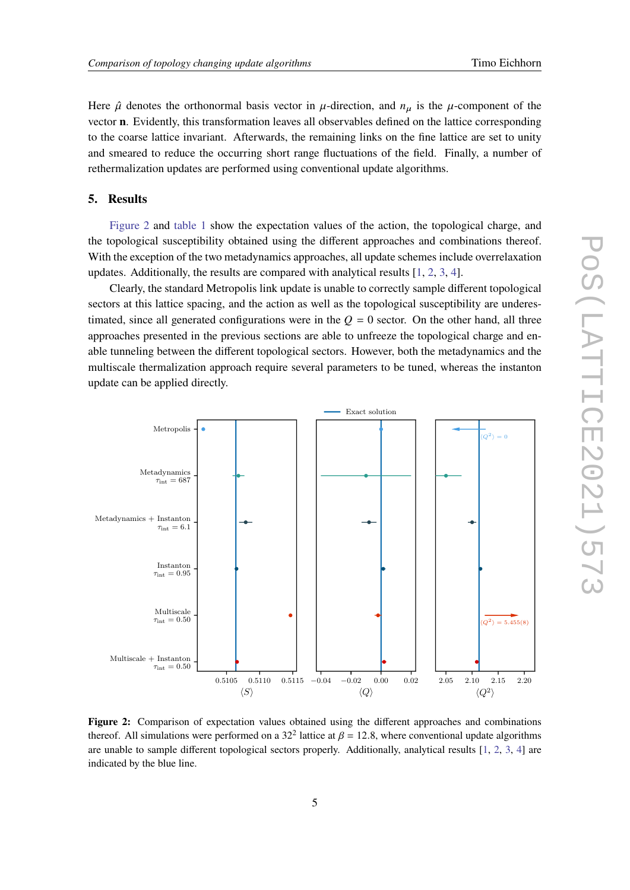Here  $\hat{\mu}$  denotes the orthonormal basis vector in  $\mu$ -direction, and  $n_{\mu}$  is the  $\mu$ -component of the vector **n**. Evidently, this transformation leaves all observables defined on the lattice corresponding to the coarse lattice invariant. Afterwards, the remaining links on the fine lattice are set to unity and smeared to reduce the occurring short range fluctuations of the field. Finally, a number of rethermalization updates are performed using conventional update algorithms.

#### **5. Results**

[Figure 2](#page-4-0) and [table 1](#page-5-0) show the expectation values of the action, the topological charge, and the topological susceptibility obtained using the different approaches and combinations thereof. With the exception of the two metadynamics approaches, all update schemes include overrelaxation updates. Additionally, the results are compared with analytical results [\[1,](#page-8-0) [2,](#page-8-1) [3,](#page-8-2) [4\]](#page-8-3).

Clearly, the standard Metropolis link update is unable to correctly sample different topological sectors at this lattice spacing, and the action as well as the topological susceptibility are underestimated, since all generated configurations were in the  $Q = 0$  sector. On the other hand, all three approaches presented in the previous sections are able to unfreeze the topological charge and enable tunneling between the different topological sectors. However, both the metadynamics and the multiscale thermalization approach require several parameters to be tuned, whereas the instanton update can be applied directly.

<span id="page-4-0"></span>

**Figure 2:** Comparison of expectation values obtained using the different approaches and combinations thereof. All simulations were performed on a 32<sup>2</sup> lattice at  $\beta = 12.8$ , where conventional update algorithms are unable to sample different topological sectors properly. Additionally, analytical results [\[1,](#page-8-0) [2,](#page-8-1) [3,](#page-8-2) [4\]](#page-8-3) are indicated by the blue line.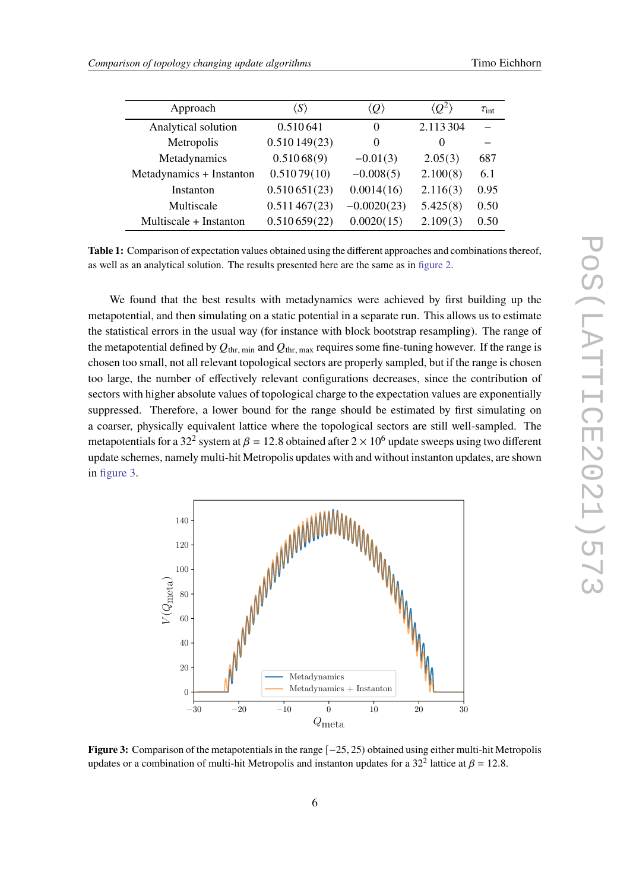<span id="page-5-0"></span>

| Approach                 | $\langle S \rangle$ | $\langle Q \rangle$ | $\langle O^2 \rangle$ | $\tau_{\rm int}$ |
|--------------------------|---------------------|---------------------|-----------------------|------------------|
| Analytical solution      | 0.510641            | $\theta$            | 2.113 304             |                  |
| Metropolis               | 0.510149(23)        | $\theta$            | $\Omega$              |                  |
| Metadynamics             | 0.51068(9)          | $-0.01(3)$          | 2.05(3)               | 687              |
| Metadynamics + Instanton | 0.51079(10)         | $-0.008(5)$         | 2.100(8)              | 6.1              |
| Instanton                | 0.510651(23)        | 0.0014(16)          | 2.116(3)              | 0.95             |
| Multiscale               | 0.511467(23)        | $-0.0020(23)$       | 5.425(8)              | 0.50             |
| Multiscale + Instanton   | 0.510659(22)        | 0.0020(15)          | 2.109(3)              | 0.50             |

**Table 1:** Comparison of expectation values obtained using the different approaches and combinations thereof, as well as an analytical solution. The results presented here are the same as in [figure 2.](#page-4-0)

We found that the best results with metadynamics were achieved by first building up the metapotential, and then simulating on a static potential in a separate run. This allows us to estimate the statistical errors in the usual way (for instance with block bootstrap resampling). The range of the metapotential defined by  $Q_{thr, min}$  and  $Q_{thr, max}$  requires some fine-tuning however. If the range is chosen too small, not all relevant topological sectors are properly sampled, but if the range is chosen too large, the number of effectively relevant configurations decreases, since the contribution of sectors with higher absolute values of topological charge to the expectation values are exponentially suppressed. Therefore, a lower bound for the range should be estimated by first simulating on a coarser, physically equivalent lattice where the topological sectors are still well-sampled. The metapotentials for a 32<sup>2</sup> system at  $\beta = 12.8$  obtained after 2  $\times$  10<sup>6</sup> update sweeps using two different update schemes, namely multi-hit Metropolis updates with and without instanton updates, are shown in [figure 3.](#page-5-1)

<span id="page-5-1"></span>

**Figure 3:** Comparison of the metapotentials in the range [−25, 25) obtained using either multi-hit Metropolis updates or a combination of multi-hit Metropolis and instanton updates for a 32<sup>2</sup> lattice at  $\beta = 12.8$ .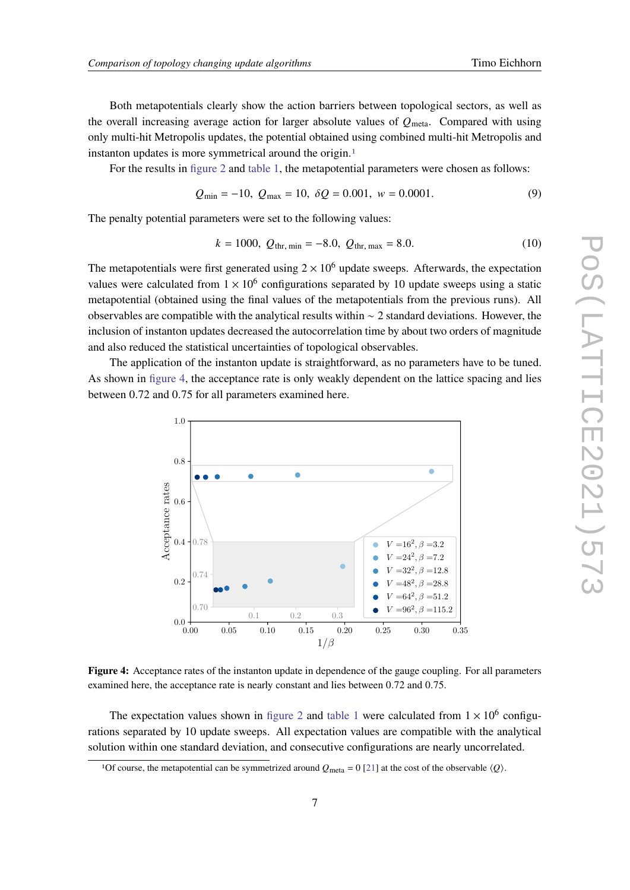Both metapotentials clearly show the action barriers between topological sectors, as well as the overall increasing average action for larger absolute values of  $Q_{meta}$ . Compared with using only multi-hit Metropolis updates, the potential obtained using combined multi-hit Metropolis and instanton updates is more symmetrical around the origin.<sup>[1](#page-6-0)</sup>

For the results in [figure 2](#page-4-0) and [table 1,](#page-5-0) the metapotential parameters were chosen as follows:

$$
Q_{\min} = -10, \ Q_{\max} = 10, \ \delta Q = 0.001, \ w = 0.0001. \tag{9}
$$

The penalty potential parameters were set to the following values:

$$
k = 1000, \ Q_{\text{thr, min}} = -8.0, \ Q_{\text{thr, max}} = 8.0. \tag{10}
$$

The metapotentials were first generated using  $2 \times 10^6$  update sweeps. Afterwards, the expectation values were calculated from  $1 \times 10^6$  configurations separated by 10 update sweeps using a static metapotential (obtained using the final values of the metapotentials from the previous runs). All observables are compatible with the analytical results within ∼ 2 standard deviations. However, the inclusion of instanton updates decreased the autocorrelation time by about two orders of magnitude and also reduced the statistical uncertainties of topological observables.

<span id="page-6-1"></span>The application of the instanton update is straightforward, as no parameters have to be tuned. As shown in [figure 4,](#page-6-1) the acceptance rate is only weakly dependent on the lattice spacing and lies between 0.72 and 0.75 for all parameters examined here.



**Figure 4:** Acceptance rates of the instanton update in dependence of the gauge coupling. For all parameters examined here, the acceptance rate is nearly constant and lies between 0.72 and 0.75.

The expectation values shown in [figure 2](#page-4-0) and [table 1](#page-5-0) were calculated from  $1 \times 10^6$  configurations separated by 10 update sweeps. All expectation values are compatible with the analytical solution within one standard deviation, and consecutive configurations are nearly uncorrelated.

<span id="page-6-0"></span><sup>&</sup>lt;sup>1</sup>Of course, the metapotential can be symmetrized around  $Q_{\text{meta}} = 0$  [\[21\]](#page-9-12) at the cost of the observable  $\langle Q \rangle$ .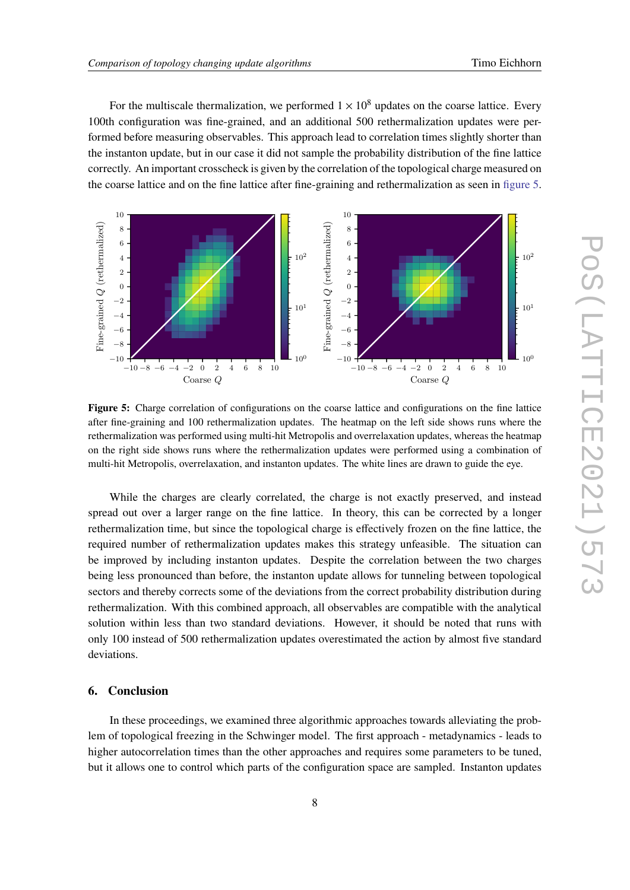For the multiscale thermalization, we performed  $1 \times 10^8$  updates on the coarse lattice. Every 100th configuration was fine-grained, and an additional 500 rethermalization updates were performed before measuring observables. This approach lead to correlation times slightly shorter than the instanton update, but in our case it did not sample the probability distribution of the fine lattice correctly. An important crosscheck is given by the correlation of the topological charge measured on the coarse lattice and on the fine lattice after fine-graining and rethermalization as seen in [figure 5.](#page-7-0)

<span id="page-7-0"></span>

**Figure 5:** Charge correlation of configurations on the coarse lattice and configurations on the fine lattice after fine-graining and 100 rethermalization updates. The heatmap on the left side shows runs where the rethermalization was performed using multi-hit Metropolis and overrelaxation updates, whereas the heatmap on the right side shows runs where the rethermalization updates were performed using a combination of multi-hit Metropolis, overrelaxation, and instanton updates. The white lines are drawn to guide the eye.

While the charges are clearly correlated, the charge is not exactly preserved, and instead spread out over a larger range on the fine lattice. In theory, this can be corrected by a longer rethermalization time, but since the topological charge is effectively frozen on the fine lattice, the required number of rethermalization updates makes this strategy unfeasible. The situation can be improved by including instanton updates. Despite the correlation between the two charges being less pronounced than before, the instanton update allows for tunneling between topological sectors and thereby corrects some of the deviations from the correct probability distribution during rethermalization. With this combined approach, all observables are compatible with the analytical solution within less than two standard deviations. However, it should be noted that runs with only 100 instead of 500 rethermalization updates overestimated the action by almost five standard deviations.

#### **6. Conclusion**

In these proceedings, we examined three algorithmic approaches towards alleviating the problem of topological freezing in the Schwinger model. The first approach - metadynamics - leads to higher autocorrelation times than the other approaches and requires some parameters to be tuned, but it allows one to control which parts of the configuration space are sampled. Instanton updates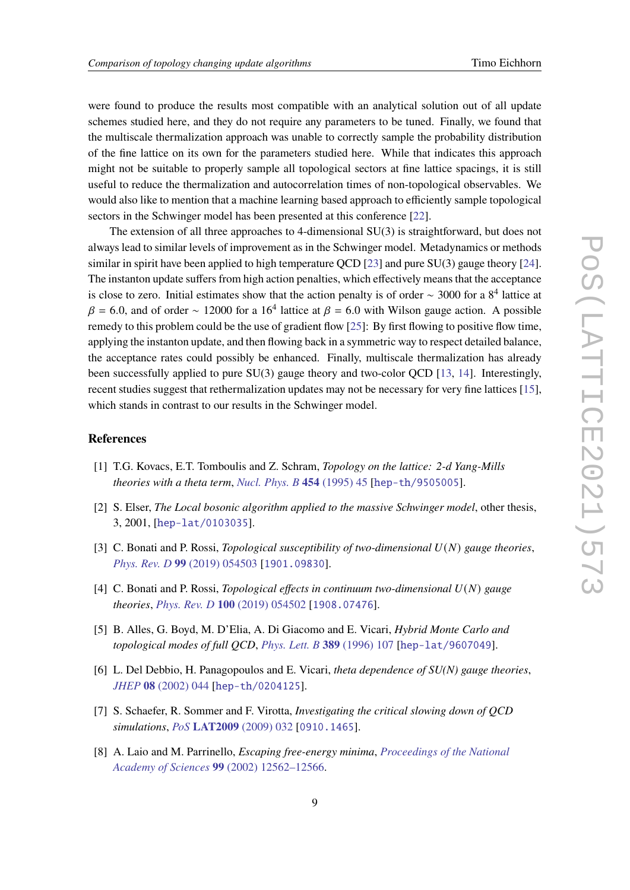were found to produce the results most compatible with an analytical solution out of all update schemes studied here, and they do not require any parameters to be tuned. Finally, we found that the multiscale thermalization approach was unable to correctly sample the probability distribution of the fine lattice on its own for the parameters studied here. While that indicates this approach might not be suitable to properly sample all topological sectors at fine lattice spacings, it is still useful to reduce the thermalization and autocorrelation times of non-topological observables. We would also like to mention that a machine learning based approach to efficiently sample topological sectors in the Schwinger model has been presented at this conference [\[22\]](#page-9-13).

The extension of all three approaches to 4-dimensional SU(3) is straightforward, but does not always lead to similar levels of improvement as in the Schwinger model. Metadynamics or methods similar in spirit have been applied to high temperature OCD [\[23\]](#page-9-14) and pure  $SU(3)$  gauge theory [\[24\]](#page-9-15). The instanton update suffers from high action penalties, which effectively means that the acceptance is close to zero. Initial estimates show that the action penalty is of order  $\sim$  3000 for a 8<sup>4</sup> lattice at  $\beta$  = 6.0, and of order ~ 12000 for a 16<sup>4</sup> lattice at  $\beta$  = 6.0 with Wilson gauge action. A possible remedy to this problem could be the use of gradient flow [\[25\]](#page-9-16): By first flowing to positive flow time, applying the instanton update, and then flowing back in a symmetric way to respect detailed balance, the acceptance rates could possibly be enhanced. Finally, multiscale thermalization has already been successfully applied to pure SU(3) gauge theory and two-color QCD [\[13,](#page-9-4) [14\]](#page-9-5). Interestingly, recent studies suggest that rethermalization updates may not be necessary for very fine lattices [\[15\]](#page-9-6), which stands in contrast to our results in the Schwinger model.

#### **References**

- <span id="page-8-0"></span>[1] T.G. Kovacs, E.T. Tomboulis and Z. Schram, *Topology on the lattice: 2-d Yang-Mills theories with a theta term*, *[Nucl. Phys. B](https://doi.org/10.1016/0550-3213(95)00440-4)* **454** (1995) 45 [[hep-th/9505005](https://arxiv.org/abs/hep-th/9505005)].
- <span id="page-8-1"></span>[2] S. Elser, *The Local bosonic algorithm applied to the massive Schwinger model*, other thesis, 3, 2001, [[hep-lat/0103035](https://arxiv.org/abs/hep-lat/0103035)].
- <span id="page-8-2"></span>[3] C. Bonati and P. Rossi, *Topological susceptibility of two-dimensional*  $U(N)$  *gauge theories*, *Phys. Rev. D* **99** [\(2019\) 054503](https://doi.org/10.1103/PhysRevD.99.054503) [[1901.09830](https://arxiv.org/abs/1901.09830)].
- <span id="page-8-3"></span>[4] C. Bonati and P. Rossi, *Topological effects in continuum two-dimensional*  $U(N)$  gauge *theories*, *Phys. Rev. D* **100** [\(2019\) 054502](https://doi.org/10.1103/PhysRevD.100.054502) [[1908.07476](https://arxiv.org/abs/1908.07476)].
- <span id="page-8-4"></span>[5] B. Alles, G. Boyd, M. D'Elia, A. Di Giacomo and E. Vicari, *Hybrid Monte Carlo and topological modes of full QCD*, *[Phys. Lett. B](https://doi.org/10.1016/S0370-2693(96)01247-6)* **389** (1996) 107 [[hep-lat/9607049](https://arxiv.org/abs/hep-lat/9607049)].
- <span id="page-8-5"></span>[6] L. Del Debbio, H. Panagopoulos and E. Vicari, *theta dependence of SU(N) gauge theories*, *JHEP* **08** [\(2002\) 044](https://doi.org/10.1088/1126-6708/2002/08/044) [[hep-th/0204125](https://arxiv.org/abs/hep-th/0204125)].
- <span id="page-8-6"></span>[7] S. Schaefer, R. Sommer and F. Virotta, *Investigating the critical slowing down of QCD simulations*, *PoS* **LAT2009** [\(2009\) 032](https://doi.org/10.22323/1.091.0032) [[0910.1465](https://arxiv.org/abs/0910.1465)].
- <span id="page-8-7"></span>[8] A. Laio and M. Parrinello, *Escaping free-energy minima*, *[Proceedings of the National](https://doi.org/10.1073/pnas.202427399) Academy of Sciences* **99** [\(2002\) 12562–12566.](https://doi.org/10.1073/pnas.202427399)